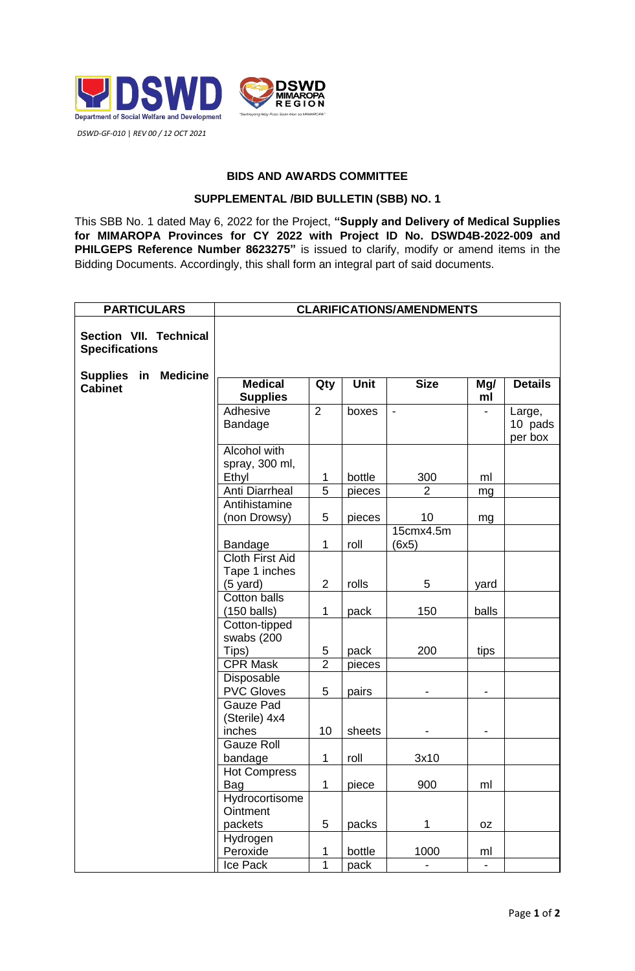

## **BIDS AND AWARDS COMMITTEE**

## **SUPPLEMENTAL /BID BULLETIN (SBB) NO. 1**

This SBB No. 1 dated May 6, 2022 for the Project, **"Supply and Delivery of Medical Supplies for MIMAROPA Provinces for CY 2022 with Project ID No. DSWD4B-2022-009 and PHILGEPS Reference Number 8623275"** is issued to clarify, modify or amend items in the Bidding Documents. Accordingly, this shall form an integral part of said documents.

| <b>CLARIFICATIONS/AMENDMENTS</b>     |                                                                                                                                                                                                                                                                                                      |                                                                           |                                                                    |                                                                                                           |                                                     |
|--------------------------------------|------------------------------------------------------------------------------------------------------------------------------------------------------------------------------------------------------------------------------------------------------------------------------------------------------|---------------------------------------------------------------------------|--------------------------------------------------------------------|-----------------------------------------------------------------------------------------------------------|-----------------------------------------------------|
|                                      |                                                                                                                                                                                                                                                                                                      |                                                                           |                                                                    |                                                                                                           |                                                     |
| <b>Medical</b>                       | Qty                                                                                                                                                                                                                                                                                                  | Unit                                                                      | <b>Size</b>                                                        | Mg/                                                                                                       | <b>Details</b>                                      |
|                                      |                                                                                                                                                                                                                                                                                                      |                                                                           |                                                                    |                                                                                                           |                                                     |
| Bandage                              |                                                                                                                                                                                                                                                                                                      |                                                                           |                                                                    |                                                                                                           | Large,<br>10 pads<br>per box                        |
| Alcohol with                         |                                                                                                                                                                                                                                                                                                      |                                                                           |                                                                    |                                                                                                           |                                                     |
|                                      | 1                                                                                                                                                                                                                                                                                                    | bottle                                                                    |                                                                    | ml                                                                                                        |                                                     |
| Anti Diarrheal                       | $\overline{5}$                                                                                                                                                                                                                                                                                       | pieces                                                                    | $\overline{2}$                                                     | mg                                                                                                        |                                                     |
| Antihistamine                        |                                                                                                                                                                                                                                                                                                      |                                                                           |                                                                    |                                                                                                           |                                                     |
| (non Drowsy)                         | 5                                                                                                                                                                                                                                                                                                    | pieces                                                                    | 10                                                                 | mg                                                                                                        |                                                     |
|                                      |                                                                                                                                                                                                                                                                                                      |                                                                           |                                                                    |                                                                                                           |                                                     |
|                                      |                                                                                                                                                                                                                                                                                                      |                                                                           |                                                                    |                                                                                                           |                                                     |
|                                      |                                                                                                                                                                                                                                                                                                      |                                                                           |                                                                    |                                                                                                           |                                                     |
|                                      |                                                                                                                                                                                                                                                                                                      |                                                                           |                                                                    |                                                                                                           |                                                     |
|                                      |                                                                                                                                                                                                                                                                                                      |                                                                           |                                                                    |                                                                                                           |                                                     |
|                                      |                                                                                                                                                                                                                                                                                                      |                                                                           |                                                                    |                                                                                                           |                                                     |
|                                      |                                                                                                                                                                                                                                                                                                      |                                                                           |                                                                    |                                                                                                           |                                                     |
|                                      |                                                                                                                                                                                                                                                                                                      |                                                                           |                                                                    |                                                                                                           |                                                     |
|                                      |                                                                                                                                                                                                                                                                                                      |                                                                           |                                                                    |                                                                                                           |                                                     |
|                                      |                                                                                                                                                                                                                                                                                                      |                                                                           |                                                                    |                                                                                                           |                                                     |
|                                      |                                                                                                                                                                                                                                                                                                      |                                                                           |                                                                    |                                                                                                           |                                                     |
| <b>PVC Gloves</b>                    | 5                                                                                                                                                                                                                                                                                                    | pairs                                                                     |                                                                    | -                                                                                                         |                                                     |
| Gauze Pad<br>(Sterile) 4x4<br>inches | 10                                                                                                                                                                                                                                                                                                   | sheets                                                                    |                                                                    |                                                                                                           |                                                     |
| <b>Gauze Roll</b>                    |                                                                                                                                                                                                                                                                                                      |                                                                           |                                                                    |                                                                                                           |                                                     |
| bandage                              | 1                                                                                                                                                                                                                                                                                                    | roll                                                                      | 3x10                                                               |                                                                                                           |                                                     |
| <b>Hot Compress</b>                  |                                                                                                                                                                                                                                                                                                      |                                                                           |                                                                    |                                                                                                           |                                                     |
|                                      | $\mathbf 1$                                                                                                                                                                                                                                                                                          | piece                                                                     |                                                                    | ml                                                                                                        |                                                     |
| Ointment                             |                                                                                                                                                                                                                                                                                                      |                                                                           |                                                                    |                                                                                                           |                                                     |
| packets                              | $\mathbf 5$                                                                                                                                                                                                                                                                                          | packs                                                                     | 1                                                                  | 0Z                                                                                                        |                                                     |
| Hydrogen                             |                                                                                                                                                                                                                                                                                                      |                                                                           |                                                                    |                                                                                                           |                                                     |
|                                      |                                                                                                                                                                                                                                                                                                      |                                                                           |                                                                    |                                                                                                           |                                                     |
|                                      | <b>Supplies</b><br>Adhesive<br>spray, 300 ml,<br>Ethyl<br>Bandage<br><b>Cloth First Aid</b><br>Tape 1 inches<br>$(5 \text{ yard})$<br><b>Cotton balls</b><br>$(150$ balls)<br>Cotton-tipped<br>swabs (200<br>Tips)<br><b>CPR Mask</b><br>Disposable<br>Bag<br>Hydrocortisome<br>Peroxide<br>Ice Pack | 2<br>1<br>$\overline{2}$<br>1<br>5<br>$\overline{2}$<br>1<br>$\mathbf{1}$ | boxes<br>roll<br>rolls<br>pack<br>pack<br>pieces<br>bottle<br>pack | $\overline{\phantom{a}}$<br>300<br>15cmx4.5m<br>(6x5)<br>5<br>150<br>200<br>900<br>1000<br>$\blacksquare$ | ml<br>yard<br>balls<br>tips<br>ml<br>$\blacksquare$ |